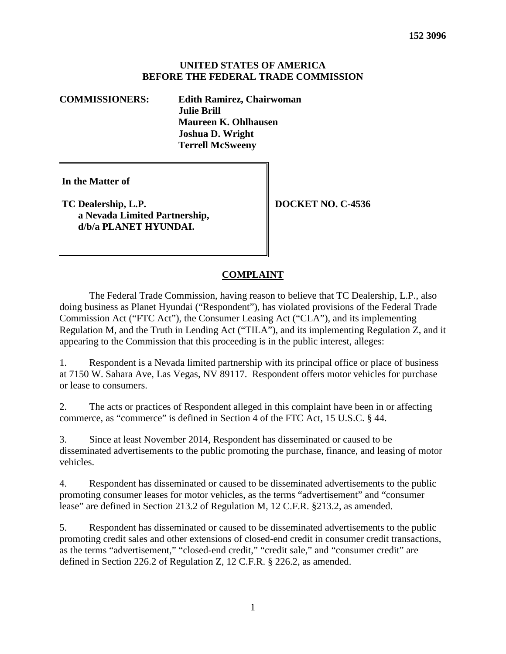#### **UNITED STATES OF AMERICA BEFORE THE FEDERAL TRADE COMMISSION**

**COMMISSIONERS: Edith Ramirez, Chairwoman Julie Brill Maureen K. Ohlhausen Joshua D. Wright Terrell McSweeny**

**In the Matter of**

**TC Dealership, L.P. a Nevada Limited Partnership, d/b/a PLANET HYUNDAI.**

**DOCKET NO. C-4536**

#### **COMPLAINT**

The Federal Trade Commission, having reason to believe that TC Dealership, L.P., also doing business as Planet Hyundai ("Respondent"), has violated provisions of the Federal Trade Commission Act ("FTC Act"), the Consumer Leasing Act ("CLA"), and its implementing Regulation M, and the Truth in Lending Act ("TILA"), and its implementing Regulation Z, and it appearing to the Commission that this proceeding is in the public interest, alleges:

1. Respondent is a Nevada limited partnership with its principal office or place of business at 7150 W. Sahara Ave, Las Vegas, NV 89117. Respondent offers motor vehicles for purchase or lease to consumers.

2. The acts or practices of Respondent alleged in this complaint have been in or affecting commerce, as "commerce" is defined in Section 4 of the FTC Act, 15 U.S.C. § 44.

3. Since at least November 2014, Respondent has disseminated or caused to be disseminated advertisements to the public promoting the purchase, finance, and leasing of motor vehicles.

4. Respondent has disseminated or caused to be disseminated advertisements to the public promoting consumer leases for motor vehicles, as the terms "advertisement" and "consumer lease" are defined in Section 213.2 of Regulation M, 12 C.F.R. §213.2, as amended.

5. Respondent has disseminated or caused to be disseminated advertisements to the public promoting credit sales and other extensions of closed-end credit in consumer credit transactions, as the terms "advertisement," "closed-end credit," "credit sale," and "consumer credit" are defined in Section 226.2 of Regulation Z, 12 C.F.R. § 226.2, as amended.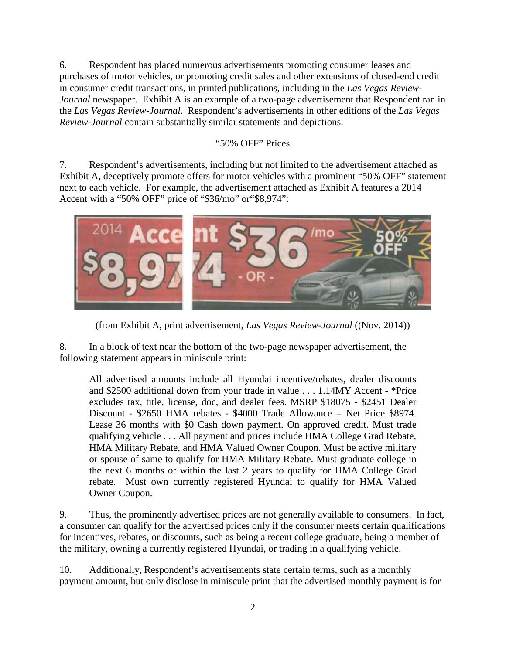6. Respondent has placed numerous advertisements promoting consumer leases and purchases of motor vehicles, or promoting credit sales and other extensions of closed-end credit in consumer credit transactions, in printed publications, including in the *Las Vegas Review-Journal* newspaper. Exhibit A is an example of a two-page advertisement that Respondent ran in the *Las Vegas Review-Journal*. Respondent's advertisements in other editions of the *Las Vegas Review-Journal* contain substantially similar statements and depictions.

#### "50% OFF" Prices

7. Respondent's advertisements, including but not limited to the advertisement attached as Exhibit A, deceptively promote offers for motor vehicles with a prominent "50% OFF" statement next to each vehicle. For example, the advertisement attached as Exhibit A features a 2014 Accent with a "50% OFF" price of "\$36/mo" or"\$8,974":



(from Exhibit A, print advertisement, *Las Vegas Review-Journal* ((Nov. 2014))

8. In a block of text near the bottom of the two-page newspaper advertisement, the following statement appears in miniscule print:

All advertised amounts include all Hyundai incentive/rebates, dealer discounts and \$2500 additional down from your trade in value . . . 1.14MY Accent - \*Price excludes tax, title, license, doc, and dealer fees. MSRP \$18075 - \$2451 Dealer Discount - \$2650 HMA rebates - \$4000 Trade Allowance = Net Price \$8974. Lease 36 months with \$0 Cash down payment. On approved credit. Must trade qualifying vehicle . . . All payment and prices include HMA College Grad Rebate, HMA Military Rebate, and HMA Valued Owner Coupon. Must be active military or spouse of same to qualify for HMA Military Rebate. Must graduate college in the next 6 months or within the last 2 years to qualify for HMA College Grad rebate. Must own currently registered Hyundai to qualify for HMA Valued Owner Coupon.

<span id="page-1-0"></span>9. Thus, the prominently advertised prices are not generally available to consumers. In fact, a consumer can qualify for the advertised prices only if the consumer meets certain qualifications for incentives, rebates, or discounts, such as being a recent college graduate, being a member of the military, owning a currently registered Hyundai, or trading in a qualifying vehicle.

10. Additionally, Respondent's advertisements state certain terms, such as a monthly payment amount, but only disclose in miniscule print that the advertised monthly payment is for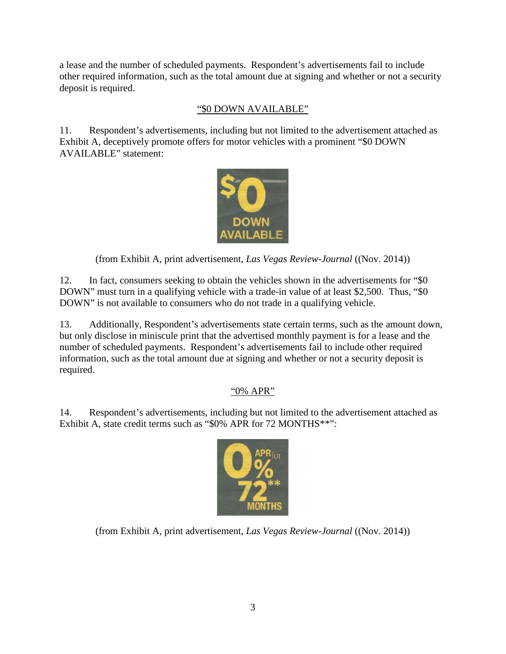a lease and the number of scheduled payments. Respondent's advertisements fail to include other required information, such as the total amount due at signing and whether or not a security deposit is required.

# "\$0 DOWN AVAILABLE"

11. Respondent's advertisements, including but not limited to the advertisement attached as Exhibit A, deceptively promote offers for motor vehicles with a prominent "\$0 DOWN AVAILABLE" statement:



(from Exhibit A, print advertisement, *Las Vegas Review-Journal* ((Nov. 2014))

12. In fact, consumers seeking to obtain the vehicles shown in the advertisements for "\$0 DOWN" must turn in a qualifying vehicle with a trade-in value of at least \$2,500. Thus, "\$0 DOWN" is not available to consumers who do not trade in a qualifying vehicle.

13. Additionally, Respondent's advertisements state certain terms, such as the amount down, but only disclose in miniscule print that the advertised monthly payment is for a lease and the number of scheduled payments. Respondent's advertisements fail to include other required information, such as the total amount due at signing and whether or not a security deposit is required.

# "0% APR"

14. Respondent's advertisements, including but not limited to the advertisement attached as Exhibit A, state credit terms such as "\$0% APR for 72 MONTHS\*\*":



(from Exhibit A, print advertisement, *Las Vegas Review-Journal* ((Nov. 2014))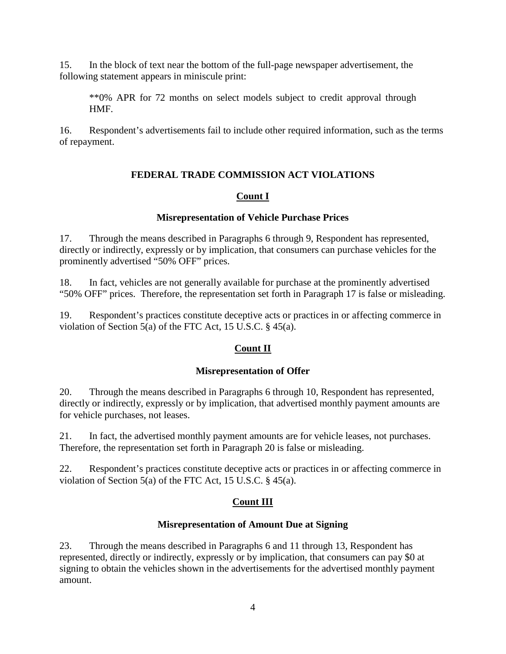15. In the block of text near the bottom of the full-page newspaper advertisement, the following statement appears in miniscule print:

\*\*0% APR for 72 months on select models subject to credit approval through HMF.

16. Respondent's advertisements fail to include other required information, such as the terms of repayment.

# **FEDERAL TRADE COMMISSION ACT VIOLATIONS**

# **Count I**

#### **Misrepresentation of Vehicle Purchase Prices**

17. Through the means described in Paragraphs 6 through [9,](#page-1-0) Respondent has represented, directly or indirectly, expressly or by implication, that consumers can purchase vehicles for the prominently advertised "50% OFF" prices.

18. In fact, vehicles are not generally available for purchase at the prominently advertised "50% OFF" prices. Therefore, the representation set forth in Paragraph 17 is false or misleading.

19. Respondent's practices constitute deceptive acts or practices in or affecting commerce in violation of Section 5(a) of the FTC Act, 15 U.S.C. § 45(a).

### **Count II**

### **Misrepresentation of Offer**

<span id="page-3-0"></span>20. Through the means described in Paragraphs 6 through 10, Respondent has represented, directly or indirectly, expressly or by implication, that advertised monthly payment amounts are for vehicle purchases, not leases.

21. In fact, the advertised monthly payment amounts are for vehicle leases, not purchases. Therefore, the representation set forth in Paragraph [20](#page-3-0) is false or misleading.

22. Respondent's practices constitute deceptive acts or practices in or affecting commerce in violation of Section 5(a) of the FTC Act, 15 U.S.C. § 45(a).

### **Count III**

### **Misrepresentation of Amount Due at Signing**

<span id="page-3-1"></span>23. Through the means described in Paragraphs 6 and 11 through 13, Respondent has represented, directly or indirectly, expressly or by implication, that consumers can pay \$0 at signing to obtain the vehicles shown in the advertisements for the advertised monthly payment amount.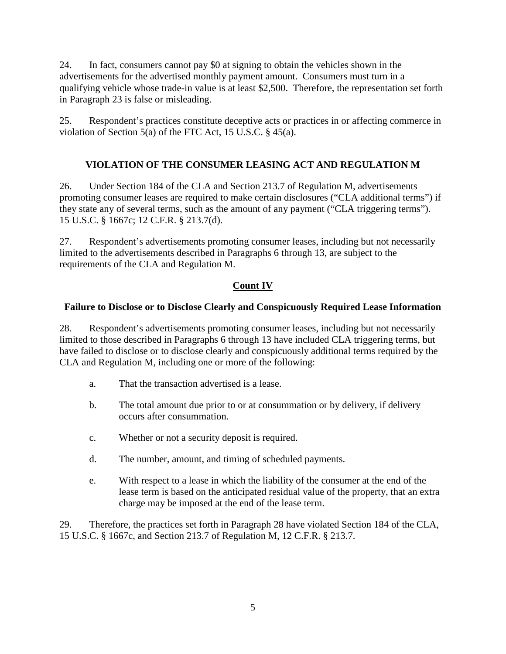24. In fact, consumers cannot pay \$0 at signing to obtain the vehicles shown in the advertisements for the advertised monthly payment amount. Consumers must turn in a qualifying vehicle whose trade-in value is at least \$2,500. Therefore, the representation set forth in Paragraph [23](#page-3-1) is false or misleading.

25. Respondent's practices constitute deceptive acts or practices in or affecting commerce in violation of Section 5(a) of the FTC Act, 15 U.S.C. § 45(a).

# **VIOLATION OF THE CONSUMER LEASING ACT AND REGULATION M**

26. Under Section 184 of the CLA and Section 213.7 of Regulation M, advertisements promoting consumer leases are required to make certain disclosures ("CLA additional terms") if they state any of several terms, such as the amount of any payment ("CLA triggering terms"). 15 U.S.C. § 1667c; 12 C.F.R. § 213.7(d).

27. Respondent's advertisements promoting consumer leases, including but not necessarily limited to the advertisements described in Paragraphs 6 through 13, are subject to the requirements of the CLA and Regulation M.

# **Count IV**

### **Failure to Disclose or to Disclose Clearly and Conspicuously Required Lease Information**

<span id="page-4-0"></span>28. Respondent's advertisements promoting consumer leases, including but not necessarily limited to those described in Paragraphs 6 through 13 have included CLA triggering terms, but have failed to disclose or to disclose clearly and conspicuously additional terms required by the CLA and Regulation M, including one or more of the following:

- a. That the transaction advertised is a lease.
- b. The total amount due prior to or at consummation or by delivery, if delivery occurs after consummation.
- c. Whether or not a security deposit is required.
- d. The number, amount, and timing of scheduled payments.
- e. With respect to a lease in which the liability of the consumer at the end of the lease term is based on the anticipated residual value of the property, that an extra charge may be imposed at the end of the lease term.

29. Therefore, the practices set forth in Paragraph [28](#page-4-0) have violated Section 184 of the CLA, 15 U.S.C. § 1667c, and Section 213.7 of Regulation M, 12 C.F.R. § 213.7.